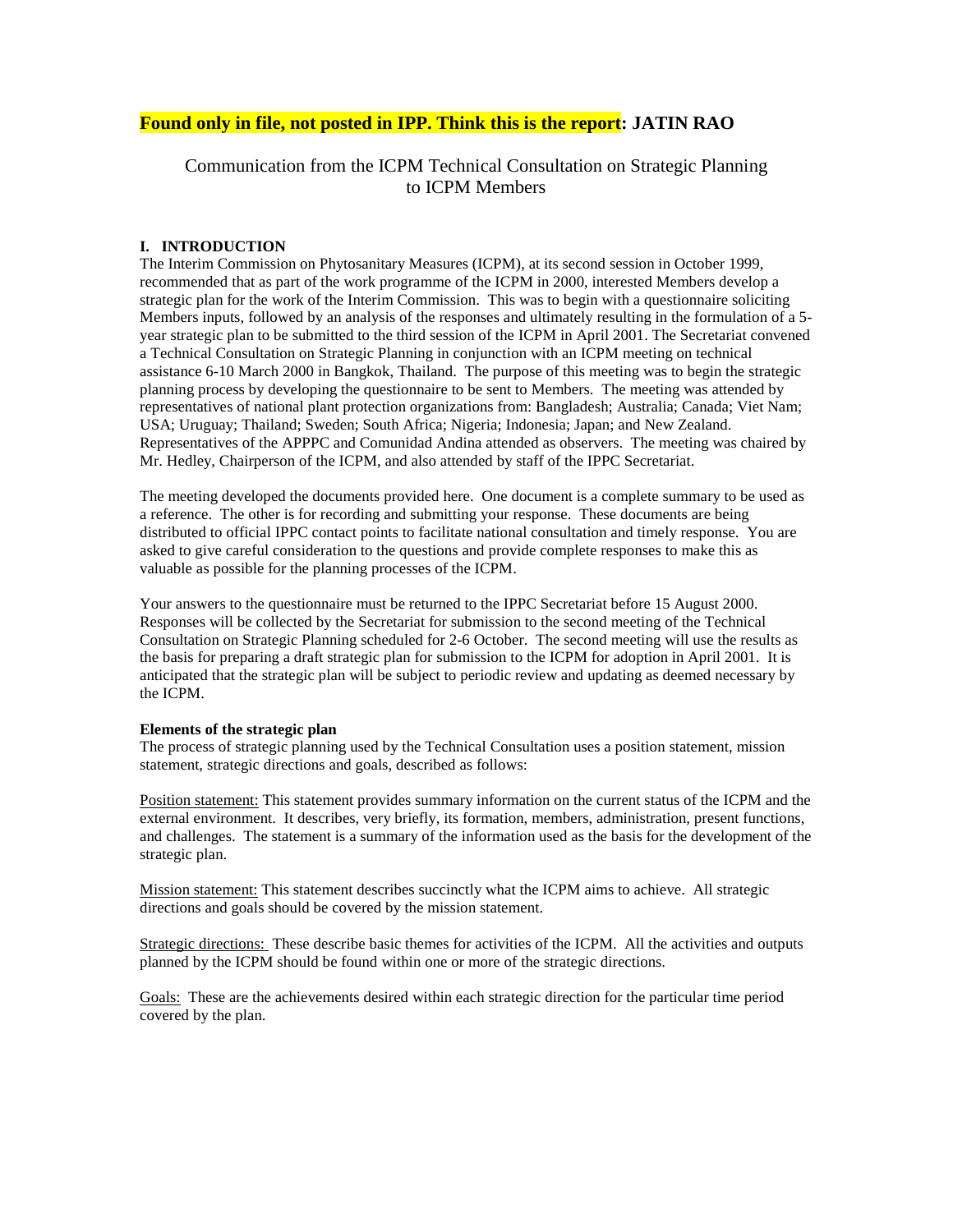## **Found only in file, not posted in IPP. Think this is the report: JATIN RAO**

# Communication from the ICPM Technical Consultation on Strategic Planning to ICPM Members

#### **I. INTRODUCTION**

The Interim Commission on Phytosanitary Measures (ICPM), at its second session in October 1999, recommended that as part of the work programme of the ICPM in 2000, interested Members develop a strategic plan for the work of the Interim Commission. This was to begin with a questionnaire soliciting Members inputs, followed by an analysis of the responses and ultimately resulting in the formulation of a 5 year strategic plan to be submitted to the third session of the ICPM in April 2001. The Secretariat convened a Technical Consultation on Strategic Planning in conjunction with an ICPM meeting on technical assistance 6-10 March 2000 in Bangkok, Thailand. The purpose of this meeting was to begin the strategic planning process by developing the questionnaire to be sent to Members. The meeting was attended by representatives of national plant protection organizations from: Bangladesh; Australia; Canada; Viet Nam; USA; Uruguay; Thailand; Sweden; South Africa; Nigeria; Indonesia; Japan; and New Zealand. Representatives of the APPPC and Comunidad Andina attended as observers. The meeting was chaired by Mr. Hedley, Chairperson of the ICPM, and also attended by staff of the IPPC Secretariat.

The meeting developed the documents provided here. One document is a complete summary to be used as a reference. The other is for recording and submitting your response. These documents are being distributed to official IPPC contact points to facilitate national consultation and timely response. You are asked to give careful consideration to the questions and provide complete responses to make this as valuable as possible for the planning processes of the ICPM.

Your answers to the questionnaire must be returned to the IPPC Secretariat before 15 August 2000. Responses will be collected by the Secretariat for submission to the second meeting of the Technical Consultation on Strategic Planning scheduled for 2-6 October. The second meeting will use the results as the basis for preparing a draft strategic plan for submission to the ICPM for adoption in April 2001. It is anticipated that the strategic plan will be subject to periodic review and updating as deemed necessary by the ICPM.

#### **Elements of the strategic plan**

The process of strategic planning used by the Technical Consultation uses a position statement, mission statement, strategic directions and goals, described as follows:

Position statement: This statement provides summary information on the current status of the ICPM and the external environment. It describes, very briefly, its formation, members, administration, present functions, and challenges. The statement is a summary of the information used as the basis for the development of the strategic plan.

Mission statement: This statement describes succinctly what the ICPM aims to achieve. All strategic directions and goals should be covered by the mission statement.

Strategic directions: These describe basic themes for activities of the ICPM. All the activities and outputs planned by the ICPM should be found within one or more of the strategic directions.

Goals: These are the achievements desired within each strategic direction for the particular time period covered by the plan.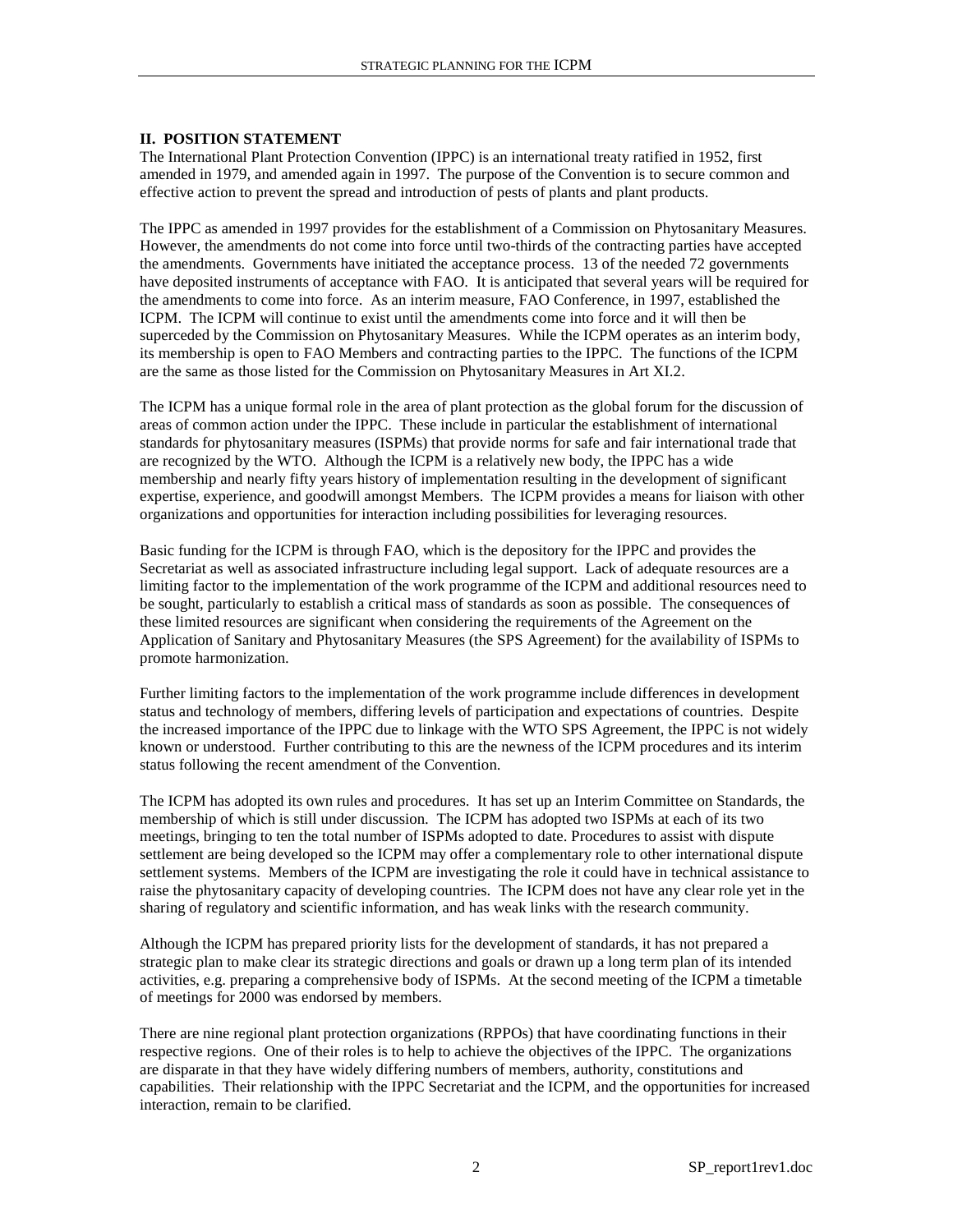#### **II. POSITION STATEMENT**

The International Plant Protection Convention (IPPC) is an international treaty ratified in 1952, first amended in 1979, and amended again in 1997. The purpose of the Convention is to secure common and effective action to prevent the spread and introduction of pests of plants and plant products.

The IPPC as amended in 1997 provides for the establishment of a Commission on Phytosanitary Measures. However, the amendments do not come into force until two-thirds of the contracting parties have accepted the amendments. Governments have initiated the acceptance process. 13 of the needed 72 governments have deposited instruments of acceptance with FAO. It is anticipated that several years will be required for the amendments to come into force. As an interim measure, FAO Conference, in 1997, established the ICPM. The ICPM will continue to exist until the amendments come into force and it will then be superceded by the Commission on Phytosanitary Measures. While the ICPM operates as an interim body, its membership is open to FAO Members and contracting parties to the IPPC. The functions of the ICPM are the same as those listed for the Commission on Phytosanitary Measures in Art XI.2.

The ICPM has a unique formal role in the area of plant protection as the global forum for the discussion of areas of common action under the IPPC. These include in particular the establishment of international standards for phytosanitary measures (ISPMs) that provide norms for safe and fair international trade that are recognized by the WTO. Although the ICPM is a relatively new body, the IPPC has a wide membership and nearly fifty years history of implementation resulting in the development of significant expertise, experience, and goodwill amongst Members. The ICPM provides a means for liaison with other organizations and opportunities for interaction including possibilities for leveraging resources.

Basic funding for the ICPM is through FAO, which is the depository for the IPPC and provides the Secretariat as well as associated infrastructure including legal support. Lack of adequate resources are a limiting factor to the implementation of the work programme of the ICPM and additional resources need to be sought, particularly to establish a critical mass of standards as soon as possible. The consequences of these limited resources are significant when considering the requirements of the Agreement on the Application of Sanitary and Phytosanitary Measures (the SPS Agreement) for the availability of ISPMs to promote harmonization.

Further limiting factors to the implementation of the work programme include differences in development status and technology of members, differing levels of participation and expectations of countries. Despite the increased importance of the IPPC due to linkage with the WTO SPS Agreement, the IPPC is not widely known or understood. Further contributing to this are the newness of the ICPM procedures and its interim status following the recent amendment of the Convention.

The ICPM has adopted its own rules and procedures. It has set up an Interim Committee on Standards, the membership of which is still under discussion. The ICPM has adopted two ISPMs at each of its two meetings, bringing to ten the total number of ISPMs adopted to date. Procedures to assist with dispute settlement are being developed so the ICPM may offer a complementary role to other international dispute settlement systems. Members of the ICPM are investigating the role it could have in technical assistance to raise the phytosanitary capacity of developing countries. The ICPM does not have any clear role yet in the sharing of regulatory and scientific information, and has weak links with the research community.

Although the ICPM has prepared priority lists for the development of standards, it has not prepared a strategic plan to make clear its strategic directions and goals or drawn up a long term plan of its intended activities, e.g. preparing a comprehensive body of ISPMs. At the second meeting of the ICPM a timetable of meetings for 2000 was endorsed by members.

There are nine regional plant protection organizations (RPPOs) that have coordinating functions in their respective regions. One of their roles is to help to achieve the objectives of the IPPC. The organizations are disparate in that they have widely differing numbers of members, authority, constitutions and capabilities. Their relationship with the IPPC Secretariat and the ICPM, and the opportunities for increased interaction, remain to be clarified.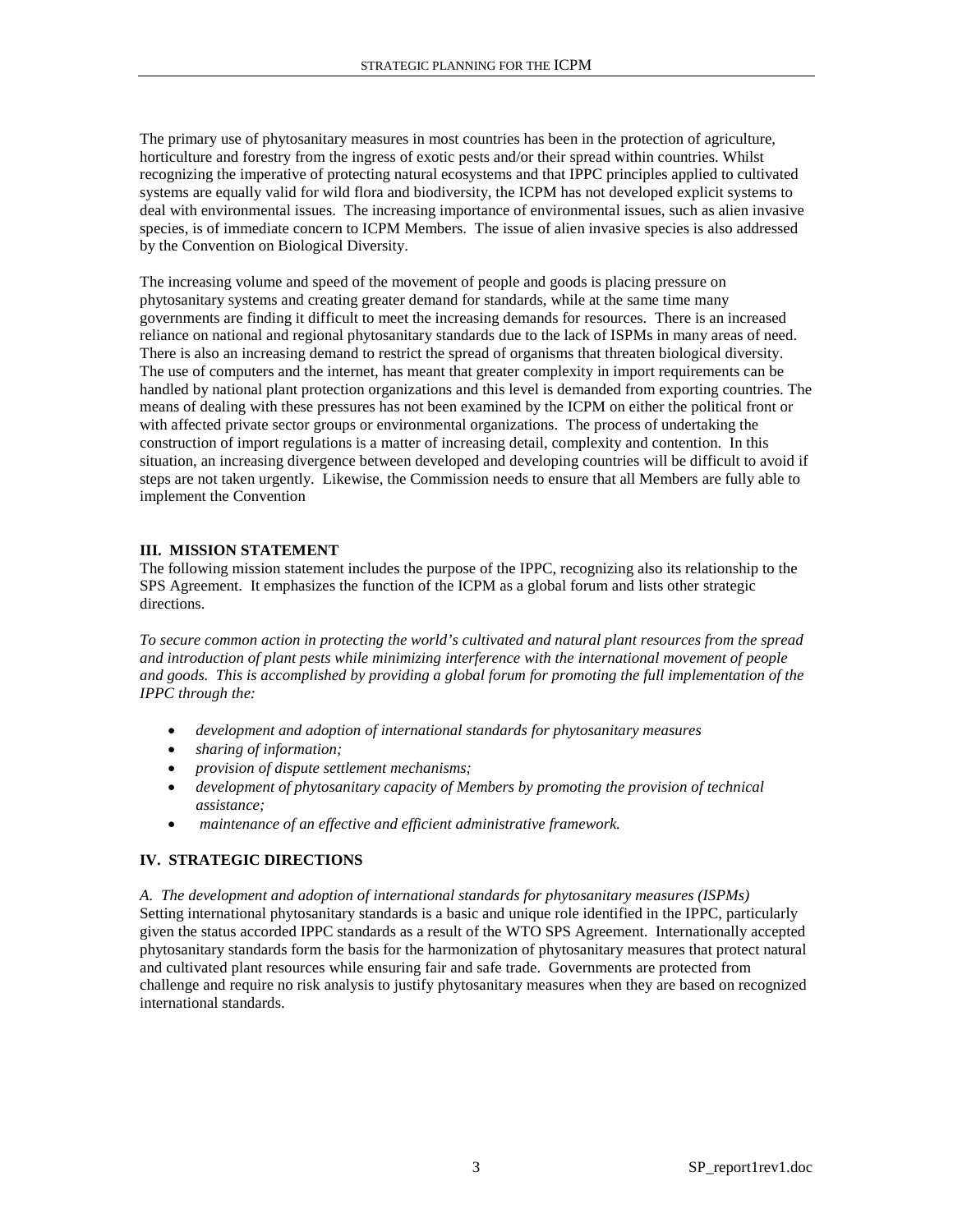The primary use of phytosanitary measures in most countries has been in the protection of agriculture, horticulture and forestry from the ingress of exotic pests and/or their spread within countries. Whilst recognizing the imperative of protecting natural ecosystems and that IPPC principles applied to cultivated systems are equally valid for wild flora and biodiversity, the ICPM has not developed explicit systems to deal with environmental issues. The increasing importance of environmental issues, such as alien invasive species, is of immediate concern to ICPM Members. The issue of alien invasive species is also addressed by the Convention on Biological Diversity.

The increasing volume and speed of the movement of people and goods is placing pressure on phytosanitary systems and creating greater demand for standards, while at the same time many governments are finding it difficult to meet the increasing demands for resources. There is an increased reliance on national and regional phytosanitary standards due to the lack of ISPMs in many areas of need. There is also an increasing demand to restrict the spread of organisms that threaten biological diversity. The use of computers and the internet, has meant that greater complexity in import requirements can be handled by national plant protection organizations and this level is demanded from exporting countries. The means of dealing with these pressures has not been examined by the ICPM on either the political front or with affected private sector groups or environmental organizations. The process of undertaking the construction of import regulations is a matter of increasing detail, complexity and contention. In this situation, an increasing divergence between developed and developing countries will be difficult to avoid if steps are not taken urgently. Likewise, the Commission needs to ensure that all Members are fully able to implement the Convention

### **III. MISSION STATEMENT**

The following mission statement includes the purpose of the IPPC, recognizing also its relationship to the SPS Agreement. It emphasizes the function of the ICPM as a global forum and lists other strategic directions.

*To secure common action in protecting the world's cultivated and natural plant resources from the spread and introduction of plant pests while minimizing interference with the international movement of people and goods. This is accomplished by providing a global forum for promoting the full implementation of the IPPC through the:*

- *development and adoption of international standards for phytosanitary measures*
- *sharing of information;*
- *provision of dispute settlement mechanisms;*
- *development of phytosanitary capacity of Members by promoting the provision of technical assistance;*
- *maintenance of an effective and efficient administrative framework.*

## **IV. STRATEGIC DIRECTIONS**

*A. The development and adoption of international standards for phytosanitary measures (ISPMs)* Setting international phytosanitary standards is a basic and unique role identified in the IPPC, particularly given the status accorded IPPC standards as a result of the WTO SPS Agreement. Internationally accepted phytosanitary standards form the basis for the harmonization of phytosanitary measures that protect natural and cultivated plant resources while ensuring fair and safe trade. Governments are protected from challenge and require no risk analysis to justify phytosanitary measures when they are based on recognized international standards.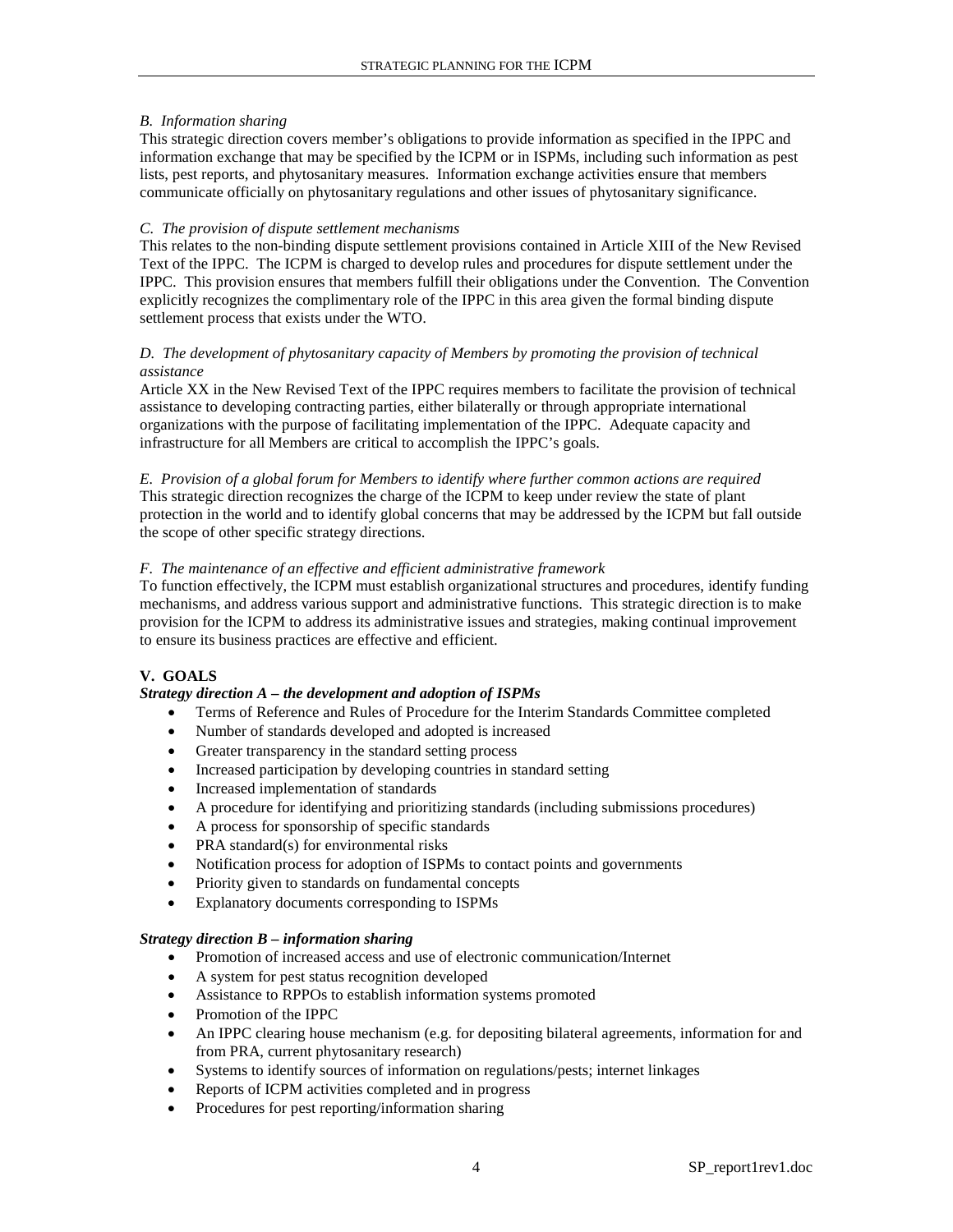### *B. Information sharing*

This strategic direction covers member's obligations to provide information as specified in the IPPC and information exchange that may be specified by the ICPM or in ISPMs, including such information as pest lists, pest reports, and phytosanitary measures. Information exchange activities ensure that members communicate officially on phytosanitary regulations and other issues of phytosanitary significance.

#### *C. The provision of dispute settlement mechanisms*

This relates to the non-binding dispute settlement provisions contained in Article XIII of the New Revised Text of the IPPC. The ICPM is charged to develop rules and procedures for dispute settlement under the IPPC. This provision ensures that members fulfill their obligations under the Convention. The Convention explicitly recognizes the complimentary role of the IPPC in this area given the formal binding dispute settlement process that exists under the WTO.

### *D. The development of phytosanitary capacity of Members by promoting the provision of technical assistance*

Article XX in the New Revised Text of the IPPC requires members to facilitate the provision of technical assistance to developing contracting parties, either bilaterally or through appropriate international organizations with the purpose of facilitating implementation of the IPPC. Adequate capacity and infrastructure for all Members are critical to accomplish the IPPC's goals.

*E. Provision of a global forum for Members to identify where further common actions are required* This strategic direction recognizes the charge of the ICPM to keep under review the state of plant protection in the world and to identify global concerns that may be addressed by the ICPM but fall outside the scope of other specific strategy directions.

## *F. The maintenance of an effective and efficient administrative framework*

To function effectively, the ICPM must establish organizational structures and procedures, identify funding mechanisms, and address various support and administrative functions. This strategic direction is to make provision for the ICPM to address its administrative issues and strategies, making continual improvement to ensure its business practices are effective and efficient.

## **V. GOALS**

## *Strategy direction A – the development and adoption of ISPMs*

- Terms of Reference and Rules of Procedure for the Interim Standards Committee completed
- Number of standards developed and adopted is increased
- Greater transparency in the standard setting process
- Increased participation by developing countries in standard setting
- Increased implementation of standards
- A procedure for identifying and prioritizing standards (including submissions procedures)
- A process for sponsorship of specific standards
- PRA standard(s) for environmental risks
- Notification process for adoption of ISPMs to contact points and governments
- Priority given to standards on fundamental concepts
- Explanatory documents corresponding to ISPMs

#### *Strategy direction B – information sharing*

- Promotion of increased access and use of electronic communication/Internet
- A system for pest status recognition developed
- Assistance to RPPOs to establish information systems promoted
- Promotion of the IPPC
- An IPPC clearing house mechanism (e.g. for depositing bilateral agreements, information for and from PRA, current phytosanitary research)
- Systems to identify sources of information on regulations/pests; internet linkages
- Reports of ICPM activities completed and in progress
- Procedures for pest reporting/information sharing